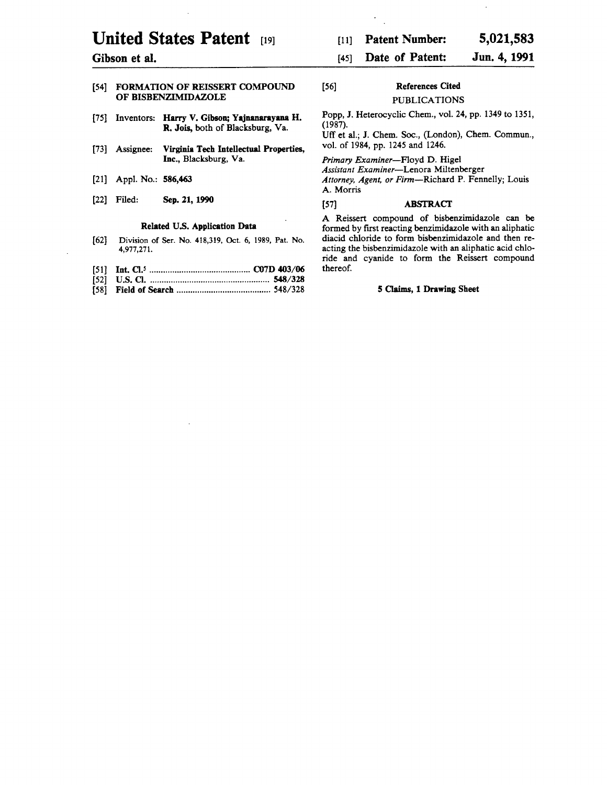# United States Patent [19] United States Patent [19] [11] Patent Number: 5,021,583<br>Gibson et al. [45] Date of Patent: Jun. 4, 1991

# Gibson et al.

# [54] FORMATION OF REISSERT COMPOUND OF BISBENZIMIDAZOLE

- [75] Inventors: Harry V. Gibson; Yajnanarayana H. R. Jois, both of Blacksburg, Va.
- [73] Assignee: Virginia Tech Intellectual Properties, Inc., Blacksburg, Va.
- [21] Appl. No.: 586,463
- [22] Filed: Sep. 21, 1990

### Related US. Application Data

- [62] Division of Ser. No. 418,319, Oct. 6, 1989, Pat. No. 4,977,271.
- [51] Int. Cl.5 ............................................ CO7D 403/06
- [52] US. Cl. ................................. 548/328
- [58] Field of Search ......................................... 548/328

# [56] References Cited PUBLICATIONS

Popp, J. Heterocyclic Chem., vol. 24, pp. 1349 to 1351, (1987).

Uff et al.; J. Chem. Soc., (London), Chem. Commun, vol. of 1984, pp. 1245 and 1246.

Primary Examiner—Floyd D. Higel Assistant Examiner—Lenora Miltenberger Attorney, Agent, or Firm-Richard P. Fennelly; Louis A. Morris

## [57] ABSTRACT

A Reissert compound of bisbenzimidazole can be formed by first reacting benzimidazole with an aliphatic diacid chloride to form bisbenzimidazole and then reacting the bisbenzimidazole with an aliphatic acid chloride and cyanide to form the Reissert compound thereof.

### 5 Claims, 1 Drawing Sheet

# [45] Date of Patent: Jun. 4, 1991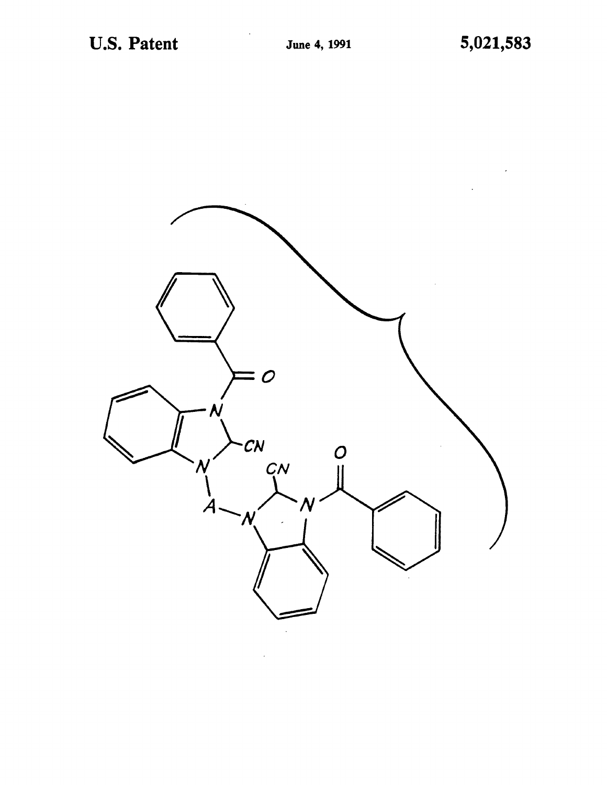